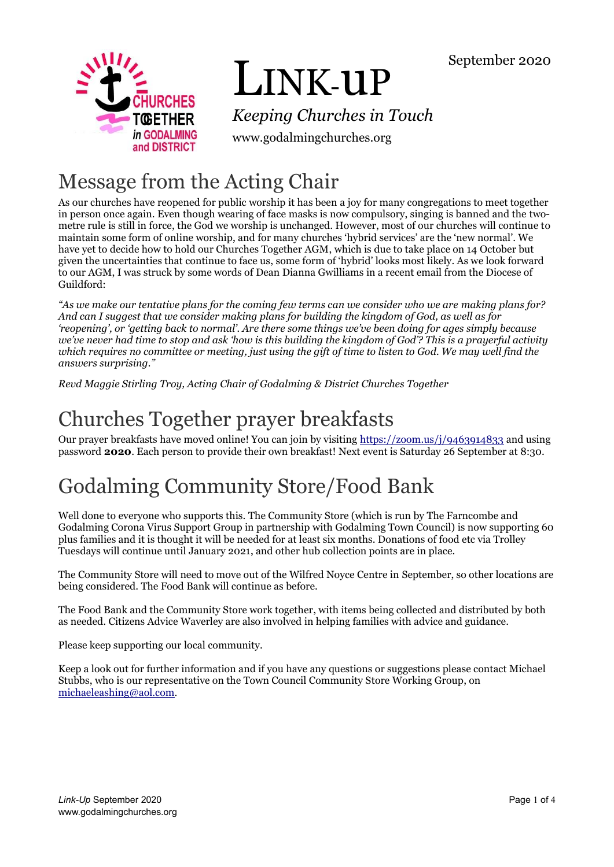

# LINK-uP

*Keeping Churches in Touch*

www.godalmingchurches.org

# Message from the Acting Chair

As our churches have reopened for public worship it has been a joy for many congregations to meet together in person once again. Even though wearing of face masks is now compulsory, singing is banned and the twometre rule is still in force, the God we worship is unchanged. However, most of our churches will continue to maintain some form of online worship, and for many churches 'hybrid services' are the 'new normal'. We have yet to decide how to hold our Churches Together AGM, which is due to take place on 14 October but given the uncertainties that continue to face us, some form of 'hybrid' looks most likely. As we look forward to our AGM, I was struck by some words of Dean Dianna Gwilliams in a recent email from the Diocese of Guildford:

*"As we make our tentative plans for the coming few terms can we consider who we are making plans for? And can I suggest that we consider making plans for building the kingdom of God, as well as for 'reopening', or 'getting back to normal'. Are there some things we've been doing for ages simply because we've never had time to stop and ask 'how is this building the kingdom of God'? This is a prayerful activity which requires no committee or meeting, just using the gift of time to listen to God. We may well find the answers surprising."*

*Revd Maggie Stirling Troy, Acting Chair of Godalming & District Churches Together*

# Churches Together prayer breakfasts

Our prayer breakfasts have moved online! You can join by visiting<https://zoom.us/j/9463914833> and using password **2020**. Each person to provide their own breakfast! Next event is Saturday 26 September at 8:30.

# Godalming Community Store/Food Bank

Well done to everyone who supports this. The Community Store (which is run by The Farncombe and Godalming Corona Virus Support Group in partnership with Godalming Town Council) is now supporting 60 plus families and it is thought it will be needed for at least six months. Donations of food etc via Trolley Tuesdays will continue until January 2021, and other hub collection points are in place.

The Community Store will need to move out of the Wilfred Noyce Centre in September, so other locations are being considered. The Food Bank will continue as before.

The Food Bank and the Community Store work together, with items being collected and distributed by both as needed. Citizens Advice Waverley are also involved in helping families with advice and guidance.

Please keep supporting our local community.

Keep a look out for further information and if you have any questions or suggestions please contact Michael Stubbs, who is our representative on the Town Council Community Store Working Group, on [michaeleashing@aol.com.](mailto:michaeleashing@aol.com)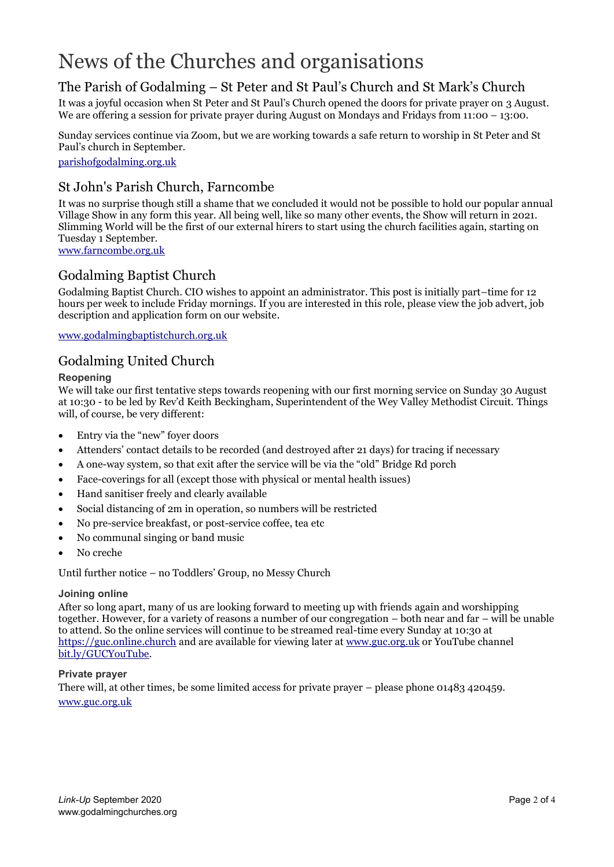# News of the Churches and organisations

# The Parish of Godalming – St Peter and St Paul's Church and St Mark's Church

It was a joyful occasion when St Peter and St Paul's Church opened the doors for private prayer on 3 August. We are offering a session for private prayer during August on Mondays and Fridays from 11:00 – 13:00.

Sunday services continue via Zoom, but we are working towards a safe return to worship in St Peter and St Paul's church in September.

[parishofgodalming.org.uk](https://parishofgodalming.org.uk/)

# St John's Parish Church, Farncombe

It was no surprise though still a shame that we concluded it would not be possible to hold our popular annual Village Show in any form this year. All being well, like so many other events, the Show will return in 2021. Slimming World will be the first of our external hirers to start using the church facilities again, starting on Tuesday 1 September.

[www.farncombe.org.uk](http://www.farncombe.org.uk/)

# Godalming Baptist Church

Godalming Baptist Church. CIO wishes to appoint an administrator. This post is initially part–time for 12 hours per week to include Friday mornings. If you are interested in this role, please view the job advert, job description and application form on our website.

[www.godalmingbaptistchurch.org.uk](http://www.godalmingbaptistchurch.org.uk/)

## Godalming United Church

### **Reopening**

We will take our first tentative steps towards reopening with our first morning service on Sunday 30 August at 10:30 - to be led by Rev'd Keith Beckingham, Superintendent of the Wey Valley Methodist Circuit. Things will, of course, be very different:

- Entry via the "new" foyer doors
- Attenders' contact details to be recorded (and destroyed after 21 days) for tracing if necessary
- A one-way system, so that exit after the service will be via the "old" Bridge Rd porch
- Face-coverings for all (except those with physical or mental health issues)
- Hand sanitiser freely and clearly available
- Social distancing of 2m in operation, so numbers will be restricted
- No pre-service breakfast, or post-service coffee, tea etc
- No communal singing or band music
- No creche

Until further notice – no Toddlers' Group, no Messy Church

#### **Joining online**

After so long apart, many of us are looking forward to meeting up with friends again and worshipping together. However, for a variety of reasons a number of our congregation – both near and far – will be unable to attend. So the online services will continue to be streamed real-time every Sunday at 10:30 at [https://guc.online.church](https://guc.online.church/) and are available for viewing later at [www.guc.org.uk](https://www.guc.org.uk/) or YouTube channel [bit.ly/GUCYouTube.](https://bit.ly/GUCYouTube)

### **Private prayer**

There will, at other times, be some limited access for private prayer – please phone 01483 420459. [www.guc.org.uk](http://www.guc.org.uk/)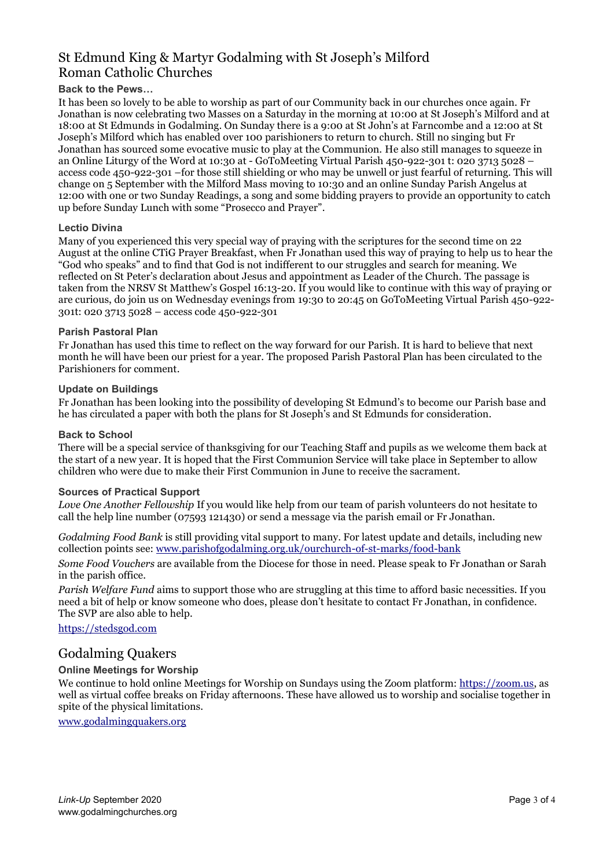# St Edmund King & Martyr Godalming with St Joseph's Milford Roman Catholic Churches

### **Back to the Pews…**

It has been so lovely to be able to worship as part of our Community back in our churches once again. Fr Jonathan is now celebrating two Masses on a Saturday in the morning at 10:00 at St Joseph's Milford and at 18:00 at St Edmunds in Godalming. On Sunday there is a 9:00 at St John's at Farncombe and a 12:00 at St Joseph's Milford which has enabled over 100 parishioners to return to church. Still no singing but Fr Jonathan has sourced some evocative music to play at the Communion. He also still manages to squeeze in an Online Liturgy of the Word at 10:30 at - GoToMeeting Virtual Parish 450-922-301 t: 020 3713 5028 – access code 450-922-301 –for those still shielding or who may be unwell or just fearful of returning. This will change on 5 September with the Milford Mass moving to 10:30 and an online Sunday Parish Angelus at 12:00 with one or two Sunday Readings, a song and some bidding prayers to provide an opportunity to catch up before Sunday Lunch with some "Prosecco and Prayer".

#### **Lectio Divina**

Many of you experienced this very special way of praying with the scriptures for the second time on 22 August at the online CTiG Prayer Breakfast, when Fr Jonathan used this way of praying to help us to hear the "God who speaks" and to find that God is not indifferent to our struggles and search for meaning. We reflected on St Peter's declaration about Jesus and appointment as Leader of the Church. The passage is taken from the NRSV St Matthew's Gospel 16:13-20. If you would like to continue with this way of praying or are curious, do join us on Wednesday evenings from 19:30 to 20:45 on GoToMeeting Virtual Parish 450-922- 301t: 020 3713 5028 – access code 450-922-301

#### **Parish Pastoral Plan**

Fr Jonathan has used this time to reflect on the way forward for our Parish. It is hard to believe that next month he will have been our priest for a year. The proposed Parish Pastoral Plan has been circulated to the Parishioners for comment.

#### **Update on Buildings**

Fr Jonathan has been looking into the possibility of developing St Edmund's to become our Parish base and he has circulated a paper with both the plans for St Joseph's and St Edmunds for consideration.

### **Back to School**

There will be a special service of thanksgiving for our Teaching Staff and pupils as we welcome them back at the start of a new year. It is hoped that the First Communion Service will take place in September to allow children who were due to make their First Communion in June to receive the sacrament.

#### **Sources of Practical Support**

*Love One Another Fellowship* If you would like help from our team of parish volunteers do not hesitate to call the help line number (07593 121430) or send a message via the parish email or Fr Jonathan.

*Godalming Food Bank* is still providing vital support to many. For latest update and details, including new collection points see: [www.parishofgodalming.org.uk/ourchurch-of-st-marks/food-bank](http://www.parishofgodalming.org.uk/ourchurch-of-st-marks/food-bank/)

*Some Food Vouchers* are available from the Diocese for those in need. Please speak to Fr Jonathan or Sarah in the parish office.

*Parish Welfare Fund* aims to support those who are struggling at this time to afford basic necessities. If you need a bit of help or know someone who does, please don't hesitate to contact Fr Jonathan, in confidence. The SVP are also able to help.

[https://stedsgod.com](https://stedsgod.com/)

### Godalming Quakers

### **Online Meetings for Worship**

We continue to hold online Meetings for Worship on Sundays using the Zoom platform[: https://zoom.us,](https://zoom.us/) as well as virtual coffee breaks on Friday afternoons. These have allowed us to worship and socialise together in spite of the physical limitations.

[www.godalmingquakers.org](http://www.godalmingquakers.org/)